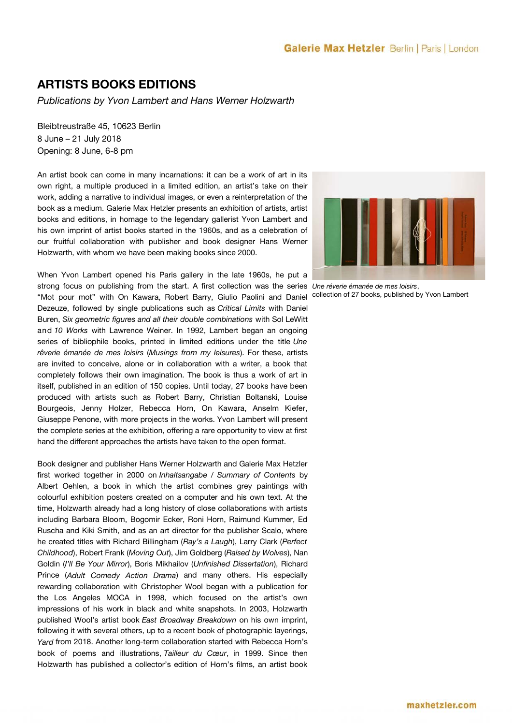# **Galerie Max Hetzler** Berlin | Paris | London

# **ARTISTS BOOKS EDITIONS**

*Publications by Yvon Lambert and Hans Werner Holzwarth*

Bleibtreustraße 45, 10623 Berlin 8 June – 21 July 2018 Opening: 8 June, 6-8 pm

An artist book can come in many incarnations: it can be a work of art in its own right, a multiple produced in a limited edition, an artist's take on their work, adding a narrative to individual images, or even a reinterpretation of the book as a medium. Galerie Max Hetzler presents an exhibition of artists, artist books and editions, in homage to the legendary gallerist Yvon Lambert and his own imprint of artist books started in the 1960s, and as a celebration of our fruitful collaboration with publisher and book designer Hans Werner Holzwarth, with whom we have been making books since 2000.

When Yvon Lambert opened his Paris gallery in the late 1960s, he put a strong focus on publishing from the start. A first collection was the series *Une réverie émanée de mes loisirs*, "Mot pour mot" with On Kawara, Robert Barry, Giulio Paolini and Daniel Dezeuze, followed by single publications such as *Critical Limits* with Daniel Buren, *Six geometric fgures and all their double combinations* with Sol LeWitt and *10 Works* with Lawrence Weiner. In 1992, Lambert began an ongoing series of bibliophile books, printed in limited editions under the title *Une rêverie émanée de mes loisirs* (*Musings from my leisures*). For these, artists are invited to conceive, alone or in collaboration with a writer, a book that completely follows their own imagination. The book is thus a work of art in itself, published in an edition of 150 copies. Until today, 27 books have been produced with artists such as Robert Barry, Christian Boltanski, Louise Bourgeois, Jenny Holzer, Rebecca Horn, On Kawara, Anselm Kiefer, Giuseppe Penone, with more projects in the works. Yvon Lambert will present the complete series at the exhibition, offering a rare opportunity to view at first hand the diferent approaches the artists have taken to the open format.

Book designer and publisher Hans Werner Holzwarth and Galerie Max Hetzler frst worked together in 2000 on *Inhaltsangabe / Summary of Contents* by Albert Oehlen, a book in which the artist combines grey paintings with colourful exhibition posters created on a computer and his own text. At the time, Holzwarth already had a long history of close collaborations with artists including Barbara Bloom, Bogomir Ecker, Roni Horn, Raimund Kummer, Ed Ruscha and Kiki Smith, and as an art director for the publisher Scalo, where he created titles with Richard Billingham (*Ray's a Laugh*), Larry Clark (*Perfect Childhood*), Robert Frank (*Moving Out*), Jim Goldberg (*Raised by Wolves*), Nan Goldin (*I'll Be Your Mirror*), Boris Mikhailov (*Unfnished Dissertation*), Richard Prince (*Adult Comedy Action Drama*) and many others. His especially rewarding collaboration with Christopher Wool began with a publication for the Los Angeles MOCA in 1998, which focused on the artist's own impressions of his work in black and white snapshots. In 2003, Holzwarth published Wool's artist book *East Broadway Breakdown* on his own imprint, following it with several others, up to a recent book of photographic layerings, *Yard* from 2018. Another long-term collaboration started with Rebecca Horn's book of poems and illustrations, *Tailleur du Cœur*, in 1999. Since then Holzwarth has published a collector's edition of Horn's flms, an artist book



collection of 27 books, published by Yvon Lambert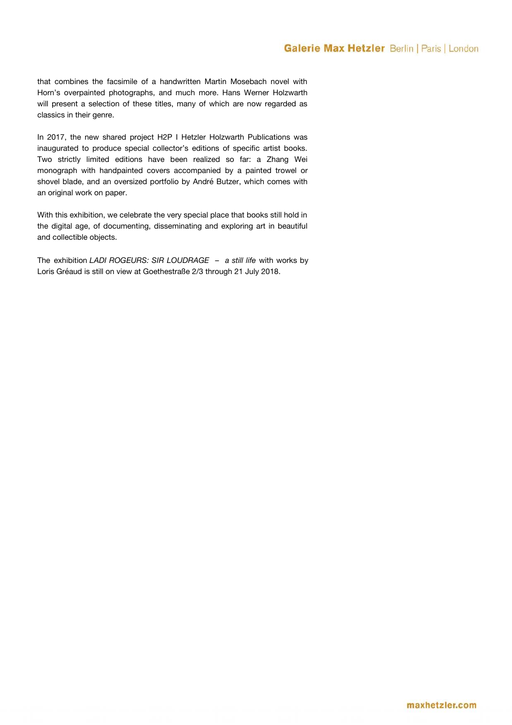# **Galerie Max Hetzler** Berlin | Paris | London

that combines the facsimile of a handwritten Martin Mosebach novel with Horn's overpainted photographs, and much more. Hans Werner Holzwarth will present a selection of these titles, many of which are now regarded as classics in their genre.

In 2017, the new shared project H2P I Hetzler Holzwarth Publications was inaugurated to produce special collector's editions of specific artist books. Two strictly limited editions have been realized so far: a Zhang Wei monograph with handpainted covers accompanied by a painted trowel or shovel blade, and an oversized portfolio by André Butzer, which comes with an original work on paper.

With this exhibition, we celebrate the very special place that books still hold in the digital age, of documenting, disseminating and exploring art in beautiful and collectible objects.

The exhibition *LADI ROGEURS: SIR LOUDRAGE – a still life* with works by Loris Gréaud is still on view at Goethestraße 2/3 through 21 July 2018.